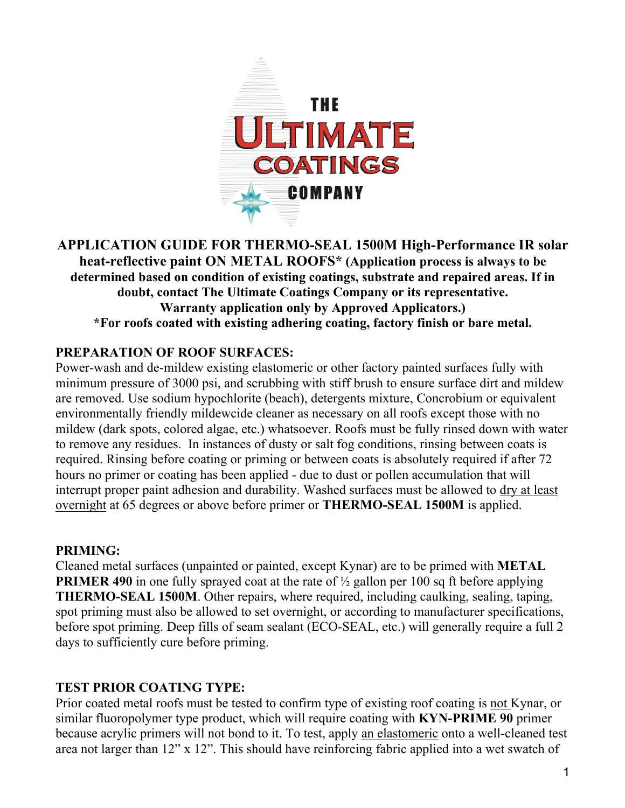

#### **APPLICATION GUIDE FOR THERMO-SEAL 1500M High-Performance IR solar heat-reflective paint ON METAL ROOFS\* (Application process is always to be determined based on condition of existing coatings, substrate and repaired areas. If in doubt, contact The Ultimate Coatings Company or its representative. Warranty application only by Approved Applicators.) \*For roofs coated with existing adhering coating, factory finish or bare metal.**

#### **PREPARATION OF ROOF SURFACES:**

Power-wash and de-mildew existing elastomeric or other factory painted surfaces fully with minimum pressure of 3000 psi, and scrubbing with stiff brush to ensure surface dirt and mildew are removed. Use sodium hypochlorite (beach), detergents mixture, Concrobium or equivalent environmentally friendly mildewcide cleaner as necessary on all roofs except those with no mildew (dark spots, colored algae, etc.) whatsoever. Roofs must be fully rinsed down with water to remove any residues. In instances of dusty or salt fog conditions, rinsing between coats is required. Rinsing before coating or priming or between coats is absolutely required if after 72 hours no primer or coating has been applied - due to dust or pollen accumulation that will interrupt proper paint adhesion and durability. Washed surfaces must be allowed to dry at least overnight at 65 degrees or above before primer or **THERMO-SEAL 1500M** is applied.

#### **PRIMING:**

Cleaned metal surfaces (unpainted or painted, except Kynar) are to be primed with **METAL PRIMER 490** in one fully sprayed coat at the rate of  $\frac{1}{2}$  gallon per 100 sq ft before applying **THERMO-SEAL 1500M**. Other repairs, where required, including caulking, sealing, taping, spot priming must also be allowed to set overnight, or according to manufacturer specifications, before spot priming. Deep fills of seam sealant (ECO-SEAL, etc.) will generally require a full 2 days to sufficiently cure before priming.

#### **TEST PRIOR COATING TYPE:**

Prior coated metal roofs must be tested to confirm type of existing roof coating is not Kynar, or similar fluoropolymer type product, which will require coating with **KYN-PRIME 90** primer because acrylic primers will not bond to it. To test, apply an elastomeric onto a well-cleaned test area not larger than 12" x 12". This should have reinforcing fabric applied into a wet swatch of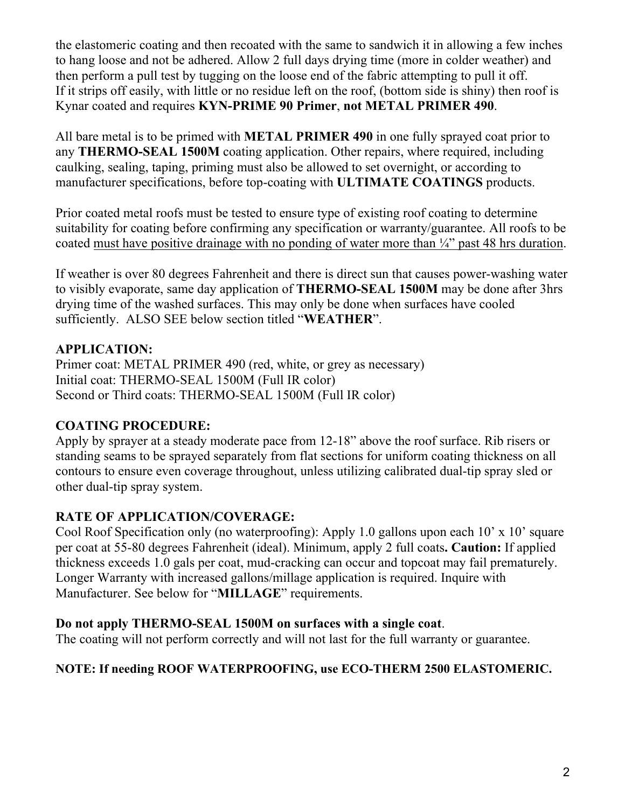the elastomeric coating and then recoated with the same to sandwich it in allowing a few inches to hang loose and not be adhered. Allow 2 full days drying time (more in colder weather) and then perform a pull test by tugging on the loose end of the fabric attempting to pull it off. If it strips off easily, with little or no residue left on the roof, (bottom side is shiny) then roof is Kynar coated and requires **KYN-PRIME 90 Primer**, **not METAL PRIMER 490**.

All bare metal is to be primed with **METAL PRIMER 490** in one fully sprayed coat prior to any **THERMO-SEAL 1500M** coating application. Other repairs, where required, including caulking, sealing, taping, priming must also be allowed to set overnight, or according to manufacturer specifications, before top-coating with **ULTIMATE COATINGS** products.

Prior coated metal roofs must be tested to ensure type of existing roof coating to determine suitability for coating before confirming any specification or warranty/guarantee. All roofs to be coated must have positive drainage with no ponding of water more than  $\frac{1}{4}$  past 48 hrs duration.

If weather is over 80 degrees Fahrenheit and there is direct sun that causes power-washing water to visibly evaporate, same day application of **THERMO-SEAL 1500M** may be done after 3hrs drying time of the washed surfaces. This may only be done when surfaces have cooled sufficiently. ALSO SEE below section titled "**WEATHER**".

# **APPLICATION:**

Primer coat: METAL PRIMER 490 (red, white, or grey as necessary) Initial coat: THERMO-SEAL 1500M (Full IR color) Second or Third coats: THERMO-SEAL 1500M (Full IR color)

## **COATING PROCEDURE:**

Apply by sprayer at a steady moderate pace from 12-18" above the roof surface. Rib risers or standing seams to be sprayed separately from flat sections for uniform coating thickness on all contours to ensure even coverage throughout, unless utilizing calibrated dual-tip spray sled or other dual-tip spray system.

# **RATE OF APPLICATION/COVERAGE:**

Cool Roof Specification only (no waterproofing): Apply 1.0 gallons upon each 10' x 10' square per coat at 55-80 degrees Fahrenheit (ideal). Minimum, apply 2 full coats**. Caution:** If applied thickness exceeds 1.0 gals per coat, mud-cracking can occur and topcoat may fail prematurely. Longer Warranty with increased gallons/millage application is required. Inquire with Manufacturer. See below for "**MILLAGE**" requirements.

## **Do not apply THERMO-SEAL 1500M on surfaces with a single coat**.

The coating will not perform correctly and will not last for the full warranty or guarantee.

## **NOTE: If needing ROOF WATERPROOFING, use ECO-THERM 2500 ELASTOMERIC.**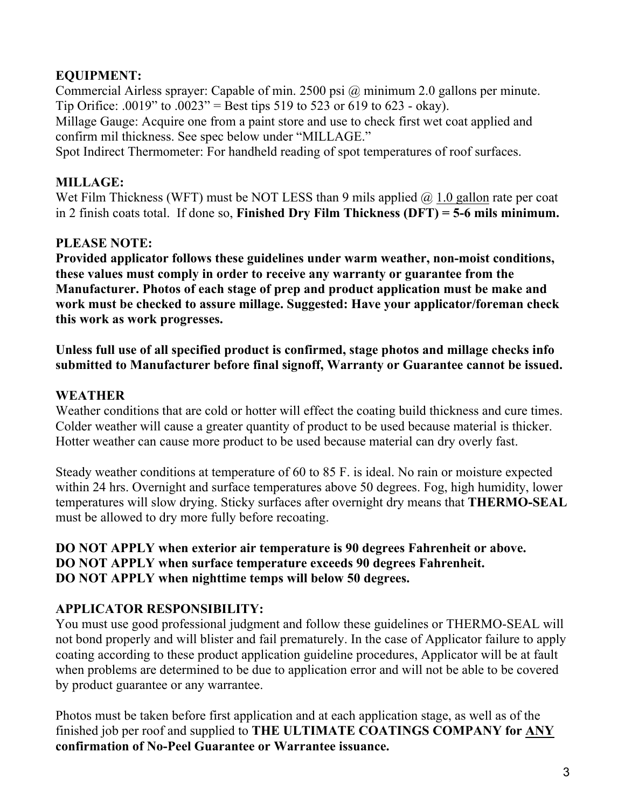# **EQUIPMENT:**

Commercial Airless sprayer: Capable of min. 2500 psi @ minimum 2.0 gallons per minute. Tip Orifice: .0019" to .0023" = Best tips 519 to 523 or 619 to 623 - okay).

Millage Gauge: Acquire one from a paint store and use to check first wet coat applied and confirm mil thickness. See spec below under "MILLAGE."

Spot Indirect Thermometer: For handheld reading of spot temperatures of roof surfaces.

#### **MILLAGE:**

Wet Film Thickness (WFT) must be NOT LESS than 9 mils applied  $\omega$  1.0 gallon rate per coat in 2 finish coats total. If done so, **Finished Dry Film Thickness (DFT) = 5-6 mils minimum.**

## **PLEASE NOTE:**

**Provided applicator follows these guidelines under warm weather, non-moist conditions, these values must comply in order to receive any warranty or guarantee from the Manufacturer. Photos of each stage of prep and product application must be make and work must be checked to assure millage. Suggested: Have your applicator/foreman check this work as work progresses.**

#### **Unless full use of all specified product is confirmed, stage photos and millage checks info submitted to Manufacturer before final signoff, Warranty or Guarantee cannot be issued.**

## **WEATHER**

Weather conditions that are cold or hotter will effect the coating build thickness and cure times. Colder weather will cause a greater quantity of product to be used because material is thicker. Hotter weather can cause more product to be used because material can dry overly fast.

Steady weather conditions at temperature of 60 to 85 F. is ideal. No rain or moisture expected within 24 hrs. Overnight and surface temperatures above 50 degrees. Fog, high humidity, lower temperatures will slow drying. Sticky surfaces after overnight dry means that **THERMO-SEAL** must be allowed to dry more fully before recoating.

#### **DO NOT APPLY when exterior air temperature is 90 degrees Fahrenheit or above. DO NOT APPLY when surface temperature exceeds 90 degrees Fahrenheit. DO NOT APPLY when nighttime temps will below 50 degrees.**

## **APPLICATOR RESPONSIBILITY:**

You must use good professional judgment and follow these guidelines or THERMO-SEAL will not bond properly and will blister and fail prematurely. In the case of Applicator failure to apply coating according to these product application guideline procedures, Applicator will be at fault when problems are determined to be due to application error and will not be able to be covered by product guarantee or any warrantee.

Photos must be taken before first application and at each application stage, as well as of the finished job per roof and supplied to **THE ULTIMATE COATINGS COMPANY for ANY confirmation of No-Peel Guarantee or Warrantee issuance.**